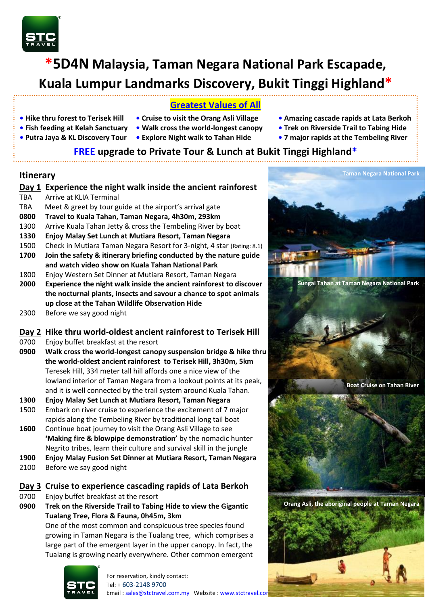

# **\*5D4N Malaysia, Taman Negara National Park Escapade, Kuala Lumpur Landmarks Discovery, Bukit Tinggi Highland\***

## **Greatest Values of All**

- 
- 
- 
- 
- 
- 
- **• Hike thru forest to Terisek Hill Cruise to visit the Orang Asli Village Amazing cascade rapids at Lata Berkoh**
- **• Fish feeding at Kelah Sanctuary Walk cross the world-longest canopy Trek on Riverside Trail to Tabing Hide**
- **Putra Jaya & KL Discovery Tour Explore Night walk to Tahan Hide • 7 major rapids at the Tembeling River**

## **FREE upgrade to Private Tour & Lunch at Bukit Tinggi Highland\***

#### **Itinerary**

#### **Day 1 Experience the night walk inside the ancient rainforest** TBA Arrive at KLIA Terminal TBA Meet & greet by tour guide at the airport's arrival gate

- **0800 Travel to Kuala Tahan, Taman Negara, 4h30m, 293km**
- 1300 Arrive Kuala Tahan Jetty & cross the Tembeling River by boat
- **1330 Enjoy Malay Set Lunch at Mutiara Resort, Taman Negara**
- 1500 Check in Mutiara Taman Negara Resort for 3-night, 4 star (Rating: 8.1)
- **1700 Join the safety & itinerary briefing conducted by the nature guide and watch video show on Kuala Tahan National Park**
- 1800 Enjoy Western Set Dinner at Mutiara Resort, Taman Negara
- **2000 Experience the night walk inside the ancient rainforest to discover the nocturnal plants, insects and savour a chance to spot animals up close at the Tahan Wildlife Observation Hide**
- 2300 Before we say good night

#### **Day 2 Hike thru world-oldest ancient rainforest to Terisek Hill**

- 0700 Enjoy buffet breakfast at the resort
- **0900 Walk cross the world-longest canopy suspension bridge & hike thru the world-oldest ancient rainforest to Terisek Hill, 3h30m, 5km** Teresek Hill, 334 meter tall hill affords one a nice view of the lowland interior of Taman Negara from a lookout points at its peak, and it is well connected by the trail system around Kuala Tahan.
- **1300 Enjoy Malay Set Lunch at Mutiara Resort, Taman Negara**
- 1500 Embark on river cruise to experience the excitement of 7 major rapids along the Tembeling River by traditional long tail boat
- **1600** Continue boat journey to visit the Orang Asli Village to see **'Making fire & blowpipe demonstration'** by the nomadic hunter Negrito tribes, learn their culture and survival skill in the jungle
- **1900 Enjoy Malay Fusion Set Dinner at Mutiara Resort, Taman Negara**
- 2100 Before we say good night

#### **Day 3 Cruise to experience cascading rapids of Lata Berkoh**

- 0700 Enjoy buffet breakfast at the resort
- **0900 Trek on the Riverside Trail to Tabing Hide to view the Gigantic Tualang Tree, Flora & Fauna, 0h45m, 3km**

One of the most common and conspicuous tree species found growing in Taman Negara is the Tualang tree, which comprises a large part of the emergent layer in the upper canopy. In fact, the Tualang is growing nearly everywhere. Other common emergent



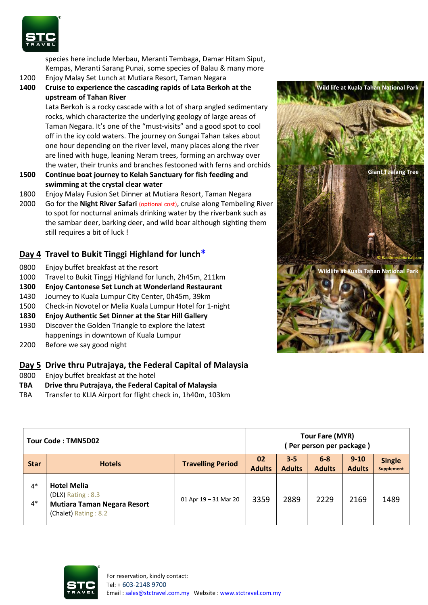

species here include Merbau, Meranti Tembaga, Damar Hitam Siput, Kempas, Meranti Sarang Punai, some species of Balau & many more

- 1200 Enjoy Malay Set Lunch at Mutiara Resort, Taman Negara
- **1400 Cruise to experience the cascading rapids of Lata Berkoh at the upstream of Tahan River**

Lata Berkoh is a rocky cascade with a lot of sharp angled sedimentary rocks, which characterize the underlying geology of large areas of Taman Negara. It's one of the "must-visits" and a good spot to cool off in the icy cold waters. The journey on Sungai Tahan takes about one hour depending on the river level, many places along the river are lined with huge, leaning Neram trees, forming an archway over the water, their trunks and branches festooned with ferns and orchids

- **1500 Continue boat journey to Kelah Sanctuary for fish feeding and swimming at the crystal clear water**
- 1800 Enjoy Malay Fusion Set Dinner at Mutiara Resort, Taman Negara
- 2000 Go for the **Night River Safari** (optional cost), cruise along Tembeling River to spot for nocturnal animals drinking water by the riverbank such as the sambar deer, barking deer, and wild boar although sighting them still requires a bit of luck !

#### **Day 4 Travel to Bukit Tinggi Highland for lunch\***

- 0800 Enjoy buffet breakfast at the resort
- 1000 Travel to Bukit Tinggi Highland for lunch, 2h45m, 211km
- **1300 Enjoy Cantonese Set Lunch at Wonderland Restaurant**
- 1430 Journey to Kuala Lumpur City Center, 0h45m, 39km
- 1500 Check-in Novotel or Melia Kuala Lumpur Hotel for 1-night
- **1830 Enjoy Authentic Set Dinner at the Star Hill Gallery**
- 1930 Discover the Golden Triangle to explore the latest happenings in downtown of Kuala Lumpur
- 2200 Before we say good night

#### **Day 5 Drive thru Putrajaya, the Federal Capital of Malaysia**

- 0800 Enjoy buffet breakfast at the hotel
- **TBA Drive thru Putrajaya, the Federal Capital of Malaysia**
- TBA Transfer to KLIA Airport for flight check in, 1h40m, 103km



| Tour Code: TMN5D02 |                                                                                                          |                          |                     | Tour Fare (MYR)<br>(Per person per package) |                          |                           |                                    |  |
|--------------------|----------------------------------------------------------------------------------------------------------|--------------------------|---------------------|---------------------------------------------|--------------------------|---------------------------|------------------------------------|--|
| <b>Star</b>        | <b>Hotels</b>                                                                                            | <b>Travelling Period</b> | 02<br><b>Adults</b> | $3 - 5$<br><b>Adults</b>                    | $6 - 8$<br><b>Adults</b> | $9 - 10$<br><b>Adults</b> | <b>Single</b><br><b>Supplement</b> |  |
| $4*$<br>$4*$       | <b>Hotel Melia</b><br>$(DLX)$ Rating : 8.3<br><b>Mutiara Taman Negara Resort</b><br>(Chalet) Rating: 8.2 | 01 Apr $19 - 31$ Mar 20  | 3359                | 2889                                        | 2229                     | 2169                      | 1489                               |  |